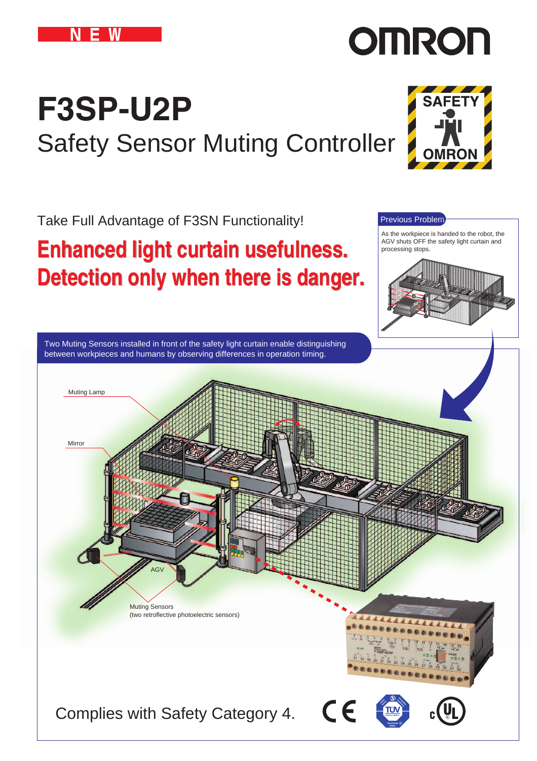

# **OMRON**

# **F3SP-U2P** Safety Sensor Muting Controller

Take Full Advantage of F3SN Functionality!

# **Enhanced light curtain usefulness. Enhanced light curtain usefulness. Detection only when there is danger. Detection only when there is danger.**



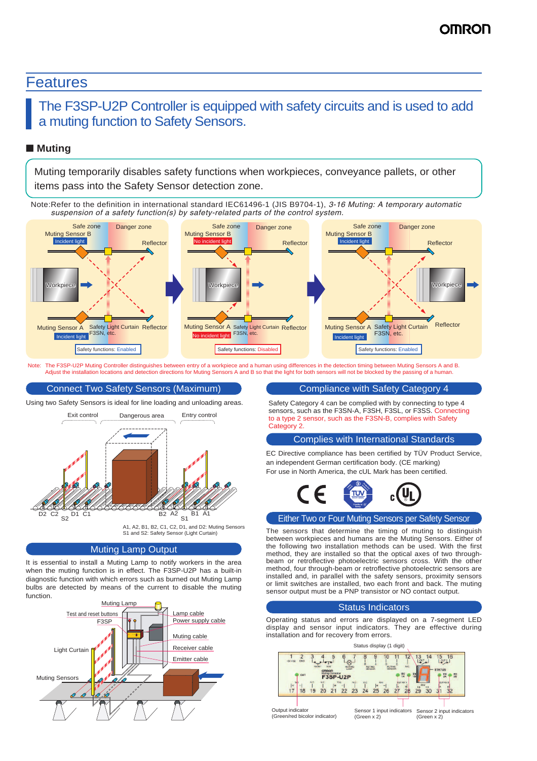#### Features

#### The F3SP-U2P Controller is equipped with safety circuits and is used to add a muting function to Safety Sensors.

#### ■ **Muting**

Muting temporarily disables safety functions when workpieces, conveyance pallets, or other items pass into the Safety Sensor detection zone.

Note:Refer to the definition in international standard IEC61496-1 (JIS B9704-1), *3-16 Muting: A temporary automatic suspension of a safety function(s) by safety-related parts of the control system.* 



The F3SP-U2P Muting Controller distinguishes between entry of a workpiece and a human using differences in the detection timing between Muting Sensors A and B. Adjust the installation locations and detection directions for Muting Sensors A and B so that the light for both sensors will not be blocked by the passing of a human.

#### Connect Two Safety Sensors (Maximum)

Using two Safety Sensors is ideal for line loading and unloading areas.



#### Muting Lamp Output

It is essential to install a Muting Lamp to notify workers in the area when the muting function is in effect. The F3SP-U2P has a built-in diagnostic function with which errors such as burned out Muting Lamp bulbs are detected by means of the current to disable the muting function.



#### Compliance with Safety Category 4

Safety Category 4 can be complied with by connecting to type 4 sensors, such as the F3SN-A, F3SH, F3SL, or F3SS. Connecting to a type 2 sensor, such as the F3SN-B, complies with Safety Category 2

#### Complies with International Standards

EC Directive compliance has been certified by TÜV Product Service, an independent German certification body. (CE marking) For use in North America, the cUL Mark has been certified.



#### Either Two or Four Muting Sensors per Safety Sensor

The sensors that determine the timing of muting to distinguish between workpieces and humans are the Muting Sensors. Either of the following two installation methods can be used. With the first method, they are installed so that the optical axes of two throughbeam or retroflective photoelectric sensors cross. With the other method, four through-beam or retroflective photoelectric sensors are installed and, in parallel with the safety sensors, proximity sensors or limit switches are installed, two each front and back. The muting sensor output must be a PNP transistor or NO contact output.

#### Status Indicators

Operating status and errors are displayed on a 7-segment LED display and sensor input indicators. They are effective during installation and for recovery from errors.

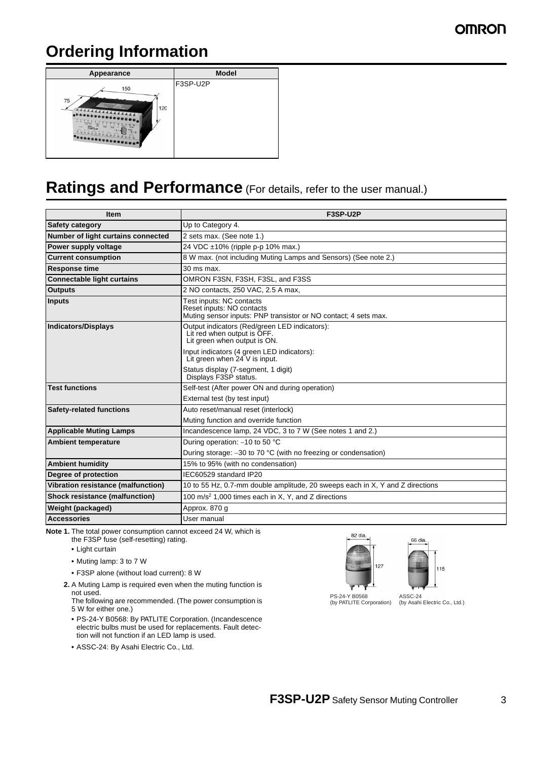### **Ordering Information**



### **Ratings and Performance** (For details, refer to the user manual.)

| <b>Item</b>                           | F3SP-U2P                                                                                                                 |
|---------------------------------------|--------------------------------------------------------------------------------------------------------------------------|
| <b>Safety category</b>                | Up to Category 4.                                                                                                        |
| Number of light curtains connected    | 2 sets max. (See note 1.)                                                                                                |
| Power supply voltage                  | 24 VDC ±10% (ripple p-p 10% max.)                                                                                        |
| <b>Current consumption</b>            | 8 W max. (not including Muting Lamps and Sensors) (See note 2.)                                                          |
| <b>Response time</b>                  | $30$ ms max.                                                                                                             |
| <b>Connectable light curtains</b>     | OMRON F3SN, F3SH, F3SL, and F3SS                                                                                         |
| <b>Outputs</b>                        | 2 NO contacts, 250 VAC, 2.5 A max,                                                                                       |
| <b>Inputs</b>                         | Test inputs: NC contacts<br>Reset inputs: NO contacts<br>Muting sensor inputs: PNP transistor or NO contact; 4 sets max. |
| <b>Indicators/Displays</b>            | Output indicators (Red/green LED indicators):<br>Lit red when output is OFF.<br>Lit green when output is ON.             |
|                                       | Input indicators (4 green LED indicators):<br>Lit green when 24 V is input.                                              |
|                                       | Status display (7-segment, 1 digit)<br>Displays F3SP status.                                                             |
| <b>Test functions</b>                 | Self-test (After power ON and during operation)                                                                          |
|                                       | External test (by test input)                                                                                            |
| <b>Safety-related functions</b>       | Auto reset/manual reset (interlock)                                                                                      |
|                                       | Muting function and override function                                                                                    |
| <b>Applicable Muting Lamps</b>        | Incandescence lamp, 24 VDC, 3 to 7 W (See notes 1 and 2.)                                                                |
| <b>Ambient temperature</b>            | During operation: -10 to 50 °C                                                                                           |
|                                       | During storage: $-30$ to 70 °C (with no freezing or condensation)                                                        |
| <b>Ambient humidity</b>               | 15% to 95% (with no condensation)                                                                                        |
| Degree of protection                  | IEC60529 standard IP20                                                                                                   |
| Vibration resistance (malfunction)    | 10 to 55 Hz, 0.7-mm double amplitude, 20 sweeps each in X, Y and Z directions                                            |
| <b>Shock resistance (malfunction)</b> | 100 m/s <sup>2</sup> 1,000 times each in X, Y, and Z directions                                                          |
| Weight (packaged)                     | Approx. 870 g                                                                                                            |
| <b>Accessories</b>                    | User manual                                                                                                              |

**Note 1.** The total power consumption cannot exceed 24 W, which is

- the F3SP fuse (self-resetting) rating.
- **•** Light curtain
- **•** Muting lamp: 3 to 7 W
- **•** F3SP alone (without load current): 8 W
- **2.** A Muting Lamp is required even when the muting function is not used.
	- The following are recommended. (The power consumption is 5 W for either one.)
	- **•** PS-24-Y B0568: By PATLITE Corporation. (Incandescence electric bulbs must be used for replacements. Fault detection will not function if an LED lamp is used.
	- **•** ASSC-24: By Asahi Electric Co., Ltd.





PS-24-Y B0568 (by PATLITE Corporation)

ASSC-24 (by Asahi Electric Co., Ltd.)